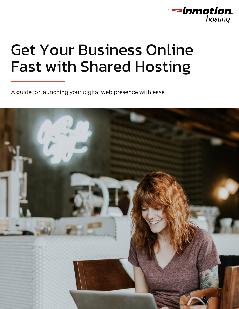

# Get Your Business Online Fast with Shared Hosting

A guide for launching your digital web presence with ease.

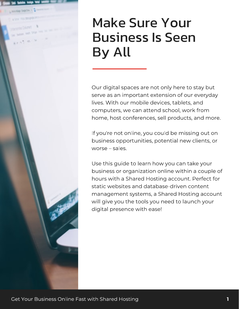### Make Sure Your Business Is Seen By All

Our digital spaces are not only here to stay but<br>serve as an important extension of our everyday lives. With our mobile devices, tablets, and computers, we can attend school, work from home, host conferences, sell products, and more. home, host conferences, sell products, and more.

If you're not online, you could be missing out on<br>business opportunities, potential new clients, or worse – sales,

Use this guide to learn how you can take your<br>business or organization online within a couple of hours with a Shared Hosting account. Perfect for static websites and database-driven content management systems, a Shared Hosting account will give you the tools you need to launch your will give you the tools you have to launch you.<br>distinct we see so with speed digital presence with ease!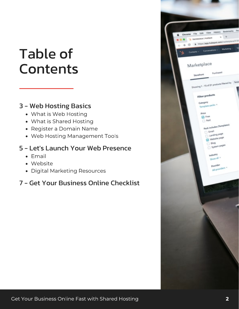## Table of **Contents**

### 3 - Web Hosting Basics

- What is Web Hosting
- What is Shared Hosting
- Register a Domain Name
- Web Hosting Management Tools

### 5 - Let's Launch Your Web Presence

- Email
- Website
- Digital Marketing Resources

### 7 - Get Your Business Online Checklist

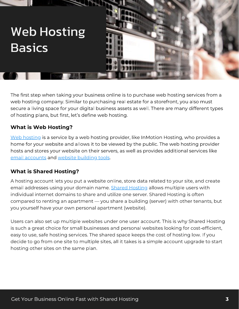### Web Hosting **Basics**

The first step when taking your business online is to purchase web hosting services from a<br>web hosting company. Similar to purchasing real estate for a storefront, you also must secure a living space for your digital business assets as well. There are many different types secure a living space for your angles assets assets as well. The many different types.<br>Aftered in a labor that first table define well begins. of hosting plans, but first, let's define web hosting.

#### What is Web Hosting?

[Web hosting](https://www.inmotionhosting.com/blog/what-is-shared-hosting/?mktgp=t&utm_campaign=shared-business-ebook&utm_source=shared-business&utm_medium=pdf-ebook) is a service by a web hosting provider, like InMotion Hosting, who provides a<br>home for your website and allows it to be viewed by the public. The web hosting provider hosts and stores your website on their servers, as well as provides additional services like email accounts and website building tools. email accounts and <u>measure a main genere</u>

#### What is Shared Hosting?

A hosting account lets you put a website o[nline, store data](https://www.inmotionhosting.com/shared-hosting?mktgp=t&utm_campaign=shared-business-ebook&utm_source=shared-business&utm_medium=pdf-ebook) related to your site, and create<br>email addresses using your domain name. Shared Hosting allows multiple users with individual internet domains to share and utilize one server. Shared Hosting is often compared to renting an apartment — you share a building (server) with other tenants, but compared to renting an apartment — you share a building (server) with other tenants, but you yourself have your own personal apartment (website).

Users can also set up multiple websites under one user account. This is why Shared Hosting<br>is such a great choice for small businesses and personal websites looking for cost-efficient, easy to use, safe hosting services. The shared space keeps the cost of hosting low. If you decide to go from one site to multiple sites, all it takes is a simple account upgrade to start decide to go from one site to multiple sites, all it takes is a simple account upgrade to start hosting other sites on the same plan.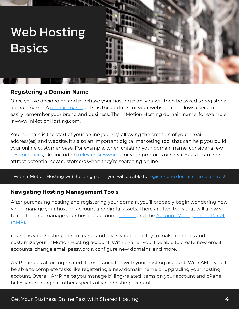## Web Hosting **Basics**

#### Registering a Domain Name

Once you've deci[ded on and pu](https://www.inmotionhosting.com/support/domain-names/whats-the-difference-between-a-domain-and-a-website/?mktgp=t&utm_campaign=shared-business-ebook&utm_source=shared-business&utm_medium=pdf-ebook)rchase your hosting plan, you will then be asked to register a<br>domain name. A domain name acts as the address for your website and allows users to easily remember your brand and business. The InMotion Hosting domain name, for example, is www.InMotionHosting.com. is www.InMotionHosting.com.

Your domain is the start of your online journey, allowing the creation of your email<br>address(es) and website. It's also an important digital marketing tool that can help you build your online customer base. For example, when creating your domain name, consider a few best practices, like including relevant keywords for your products or services, as it can help <u>best products</u>, into including <u>relevant keywords</u> for your products or services, as it can help attract potential new customers when they're searching online.

#### With InMotion Hosting web hosting plans, you will be able to [register one domain name for free](https://www.inmotionhosting.com/domains?mktgp=t&utm_campaign=shared-business-ebook&utm_source=shared-business&utm_medium=pdf-ebook)!

#### Navigating Hosting Management Tools

After purchasing hosting and registering your domain, you'll probably begin wondering how your homings your hooding account and digit[al assets](https://www.inmotionhosting.com/support/edu/cpanel/how-to-log-into-cpanel/?mktgp=t&utm_campaign=shared-business-ebook&utm_source=shared-business&utm_medium=pdf-ebook). The count of the disc that will allow your product to the<br>Assembly and means as your besting assetuate allowed and the Assembly Asian are the Densit to control and manage your moonly account: <u>creating</u> and the <u>creation management Panel and</u><br>(AMD)  $\sqrt{2\pi r^2(1-r^2)}$ 

cPanel is your hosting control panel and gives you the ability to make changes and accounts, change email passwords, configure new domains, and more. accounts, change email passwords, configure new domains, and more.

AMP handles all billing related items associated with your hosting account. With AMP, you'll account. Overall, AMP helps you manage billing-related items on your account and cPanel account. Overall, AMP helps you manage billing related items only can decount and cPanel items on a helps you manage all other aspects of your hosting account.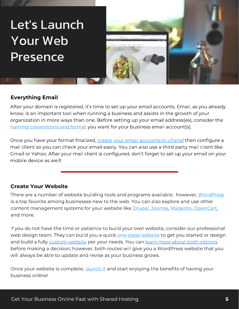## Let's Launch Your Web Presence



#### Everything Email

After your domain is registered, it's time to set up your email accounts. Email, as you already<br>know, is an important tool when running a business and assists in the growth of your organization in more ways than one. Before setting up your email address (es), consider the naming conventions and format you want for your business email account(s). <u>naming conventions and format</u> you want for you want for strain account<sub>(s)</sub>.

Once you have your format finalized, <u>create your email accounts in cPanel</u> then configure a<br>mail client so you can check your email easily. You can also use a third party mail client like mail client so you can check your email enter category. You can also use a third party mail client like.<br>Client like Meleck Afterwards and allow in configurate electric like the set we want accell on your Gmail or Yahoo. After your mail client is configured, don't forget to set up your email on your

#### Create Your Website

There are a number of website building tools and programs available; however, <u>[WordPress](https://www.inmotionhosting.com/support/edu/wordpress/getting-started-guide-wordpress/?mktgp=t&utm_campaign=shared-business-ebook&utm_source=shared-business&utm_medium=pdf-ebook)</u><br>is a top favorite among businesses new to the web. You can also explore and use other content management systems for your website like Drupal, Joomla, Magento, OpenCart, content management systems for your website like <u>only and party contents, Anglement, OpenCart,</u>

If you do not have the time or patience to bu[ild your own websit](https://www.inmotionhosting.com/support/product-guides/quickstarter/quickstarter-get-your-website-in-3-steps/?mktgp=t&utm_campaign=shared-business-ebook&utm_source=shared-business&utm_medium=pdf-ebook)e, consider our professional<br>web design team. They can build you a quick one-page website to get you started or design and build a fully [c](https://www.inmotionhosting.com/web-design?mktgp=t&utm_campaign=shared-business-ebook&utm_source=shared-business&utm_medium=pdf-ebook)ustom website per your needs. You can learn more about both options before making a decision; however, both routes will give you a WordPress website that you before making a decision; however, both routes will give you a WordPress website that it you all will always be able to update and revise as your business grows.

once your medicine is complete, <u>launch it</u> and start enjoying the benefits of having your<br>business or line!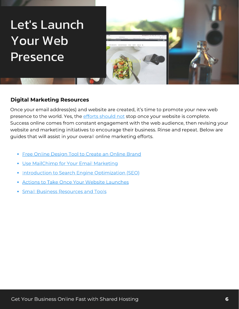## Let's Launch Your Web Presence



#### Digital Marketing Resources

Once your email address(es) a[nd website are crea](https://www.inmotionhosting.com/support/edu/wordpress/what-to-do-after-your-website-launches/?mktgp=t&utm_campaign=shared-business-ebook&utm_source=shared-business&utm_medium=pdf-ebook)ted, it's time to promote your new web<br>presence to the world. Yes, the efforts should not stop once your website is complete. Success online comes from constant engagement with the web audience, then revising your website and marketing initiatives to encourage their business. Rinse and repeat. Below are website and marketing initiatives to encourage their business. Rinse and repeat. Below are repeat. guides that will assist in your overall online marketing efforts.

- [Free Online Design Tool to Create an Online Brand](https://www.inmotionhosting.com/support/edu/wordpress/create-content-canva/?mktgp=t&utm_campaign=shared-business-ebook&utm_source=shared-business&utm_medium=pdf-ebook)
- <u>Use Mail Chimp for Your Email Marketing</u>
- [Introduction to Search Engine Optimization \(SEO\)](https://www.inmotionhosting.com/support/website/seo/seo-getting-started-guide/?mktgp=t&utm_campaign=shared-business-ebook&utm_source=shared-business&utm_medium=pdf-ebook)
- [Actions to Take Once Your Website Launches](https://www.inmotionhosting.com/support/product-guides/web-design-services/what-to-do-after-your-website-launches/?mktgp=t&utm_campaign=shared-business-ebook&utm_source=shared-business&utm_medium=pdf-ebook)
- <u>[Small Business Resources and Tools](https://www.inmotionhosting.com/small-business-resources-and-tools-for-entrepreneurs-and-startups?mktgp=t&utm_campaign=shared-business-ebook&utm_source=shared-business&utm_medium=pdf-ebook)</u>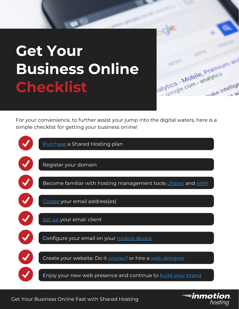# Get Your Business Online Checklist



For your convenience, to further assist your jump into the digital waters, here is a simple checklist for getting your business online!

| Purchase a Shared Hosting plan                                             |
|----------------------------------------------------------------------------|
| Register your domain                                                       |
| Become familiar with hosting management tools <b>cPanel</b> and <b>AMP</b> |
| Create your email address(es)                                              |
| Set up your email client                                                   |
| Configure your email on your mobile device                                 |
| Create your website. Do it yourself or hire a web designer                 |
| Enjoy your new web presence and continue to build your brand               |

Get Your Business Online Fast with Shared Hosting